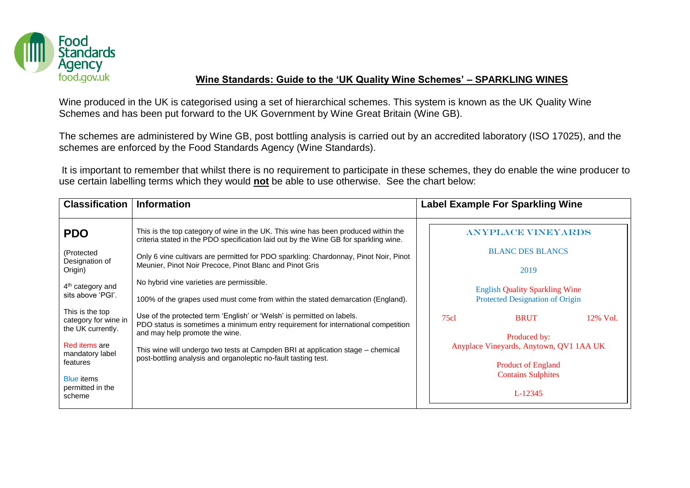

## **Wine Standards: Guide to the 'UK Quality Wine Schemes' – SPARKLING WINES**

Wine produced in the UK is categorised using a set of hierarchical schemes. This system is known as the UK Quality Wine Schemes and has been put forward to the UK Government by Wine Great Britain (Wine GB).

The schemes are administered by Wine GB, post bottling analysis is carried out by an accredited laboratory (ISO 17025), and the schemes are enforced by the Food Standards Agency (Wine Standards).

It is important to remember that whilst there is no requirement to participate in these schemes, they do enable the wine producer to use certain labelling terms which they would **not** be able to use otherwise. See the chart below:

| <b>Classification</b>                                                                                                                                                                                      | <b>Information</b>                                                                                                                                                                                                                                                                                                                                                                                                                                                                 | <b>Label Example For Sparkling Wine</b>                                                                                                                                                                                                     |  |  |  |
|------------------------------------------------------------------------------------------------------------------------------------------------------------------------------------------------------------|------------------------------------------------------------------------------------------------------------------------------------------------------------------------------------------------------------------------------------------------------------------------------------------------------------------------------------------------------------------------------------------------------------------------------------------------------------------------------------|---------------------------------------------------------------------------------------------------------------------------------------------------------------------------------------------------------------------------------------------|--|--|--|
| <b>PDO</b><br>(Protected<br>Designation of<br>Origin)                                                                                                                                                      | This is the top category of wine in the UK. This wine has been produced within the<br>criteria stated in the PDO specification laid out by the Wine GB for sparkling wine.<br>Only 6 vine cultivars are permitted for PDO sparkling: Chardonnay, Pinot Noir, Pinot<br>Meunier, Pinot Noir Precoce, Pinot Blanc and Pinot Gris                                                                                                                                                      | <b>ANYPLACE VINEYARDS</b><br><b>BLANC DES BLANCS</b><br>2019                                                                                                                                                                                |  |  |  |
| $4th$ category and<br>sits above 'PGI'.<br>This is the top<br>category for wine in<br>the UK currently.<br>Red items are<br>mandatory label<br>features<br><b>Blue items</b><br>permitted in the<br>scheme | No hybrid vine varieties are permissible.<br>100% of the grapes used must come from within the stated demarcation (England).<br>Use of the protected term 'English' or 'Welsh' is permitted on labels.<br>PDO status is sometimes a minimum entry requirement for international competition<br>and may help promote the wine.<br>This wine will undergo two tests at Campden BRI at application stage - chemical<br>post-bottling analysis and organoleptic no-fault tasting test. | <b>English Quality Sparkling Wine</b><br>Protected Designation of Origin<br>75c1<br>12% Vol.<br><b>BRUT</b><br>Produced by:<br>Anyplace Vineyards, Anytown, QV1 1AA UK<br><b>Product of England</b><br><b>Contains Sulphites</b><br>L-12345 |  |  |  |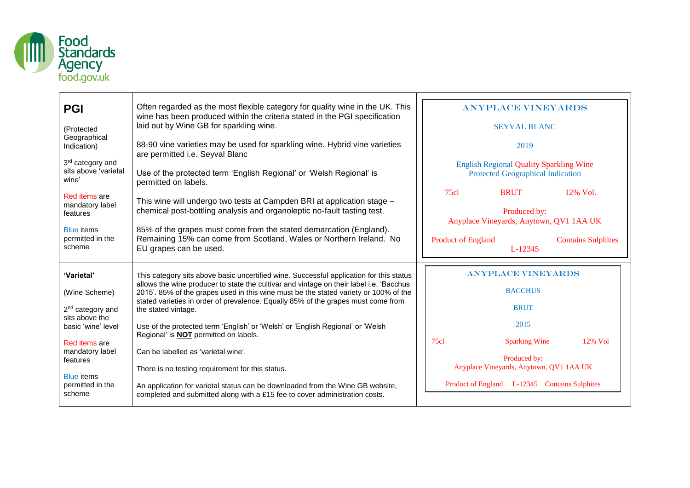

| <b>PGI</b>                                      | Often regarded as the most flexible category for quality wine in the UK. This<br>wine has been produced within the criteria stated in the PGI specification                     |  | <b>ANYPLACE VINEY ARDS</b>                                                                 |                                                         |                           |  |
|-------------------------------------------------|---------------------------------------------------------------------------------------------------------------------------------------------------------------------------------|--|--------------------------------------------------------------------------------------------|---------------------------------------------------------|---------------------------|--|
| (Protected                                      | laid out by Wine GB for sparkling wine.                                                                                                                                         |  | <b>SEYVAL BLANC</b>                                                                        |                                                         |                           |  |
| Geographical<br>Indication)                     | 88-90 vine varieties may be used for sparkling wine. Hybrid vine varieties<br>are permitted i.e. Seyval Blanc                                                                   |  | 2019                                                                                       |                                                         |                           |  |
| 3rd category and<br>sits above 'varietal        |                                                                                                                                                                                 |  | <b>English Regional Quality Sparkling Wine</b><br><b>Protected Geographical Indication</b> |                                                         |                           |  |
| wine'                                           | Use of the protected term 'English Regional' or 'Welsh Regional' is<br>permitted on labels.                                                                                     |  |                                                                                            |                                                         |                           |  |
| Red items are                                   | This wine will undergo two tests at Campden BRI at application stage -                                                                                                          |  | 75c1                                                                                       | <b>BRUT</b>                                             | $12\%$ Vol.               |  |
| mandatory label<br>features                     | chemical post-bottling analysis and organoleptic no-fault tasting test.                                                                                                         |  | Produced by:                                                                               |                                                         |                           |  |
| <b>Blue</b> items<br>permitted in the<br>scheme | 85% of the grapes must come from the stated demarcation (England).<br>Remaining 15% can come from Scotland, Wales or Northern Ireland. No<br>EU grapes can be used.             |  |                                                                                            | Anyplace Vineyards, Anytown, QV1 1AA UK                 |                           |  |
|                                                 |                                                                                                                                                                                 |  | <b>Product of England</b>                                                                  | L-12345                                                 | <b>Contains Sulphites</b> |  |
|                                                 |                                                                                                                                                                                 |  |                                                                                            |                                                         |                           |  |
|                                                 |                                                                                                                                                                                 |  |                                                                                            |                                                         |                           |  |
| 'Varietal'                                      | This category sits above basic uncertified wine. Successful application for this status                                                                                         |  |                                                                                            | <b>ANYPLACE VINEYARDS</b>                               |                           |  |
| (Wine Scheme)                                   | allows the wine producer to state the cultivar and vintage on their label i.e. 'Bacchus<br>2015'. 85% of the grapes used in this wine must be the stated variety or 100% of the |  |                                                                                            | <b>BACCHUS</b>                                          |                           |  |
|                                                 | stated varieties in order of prevalence. Equally 85% of the grapes must come from                                                                                               |  |                                                                                            | <b>BRUT</b>                                             |                           |  |
| 2 <sup>nd</sup> category and<br>sits above the  | the stated vintage.                                                                                                                                                             |  |                                                                                            | 2015                                                    |                           |  |
| basic 'wine' level                              | Use of the protected term 'English' or 'Welsh' or 'English Regional' or 'Welsh<br>Regional' is <b>NOT</b> permitted on labels.                                                  |  |                                                                                            |                                                         |                           |  |
| Red items are<br>mandatory label                | Can be labelled as 'varietal wine'.                                                                                                                                             |  | 75c1                                                                                       | <b>Sparking Wine</b>                                    | 12% Vol                   |  |
| features                                        | There is no testing requirement for this status.                                                                                                                                |  |                                                                                            | Produced by:<br>Anyplace Vineyards, Anytown, QV1 1AA UK |                           |  |
| <b>Blue</b> items<br>permitted in the           |                                                                                                                                                                                 |  |                                                                                            | Product of England L-12345 Contains Sulphites           |                           |  |
| scheme                                          | An application for varietal status can be downloaded from the Wine GB website,<br>completed and submitted along with a £15 fee to cover administration costs.                   |  |                                                                                            |                                                         |                           |  |